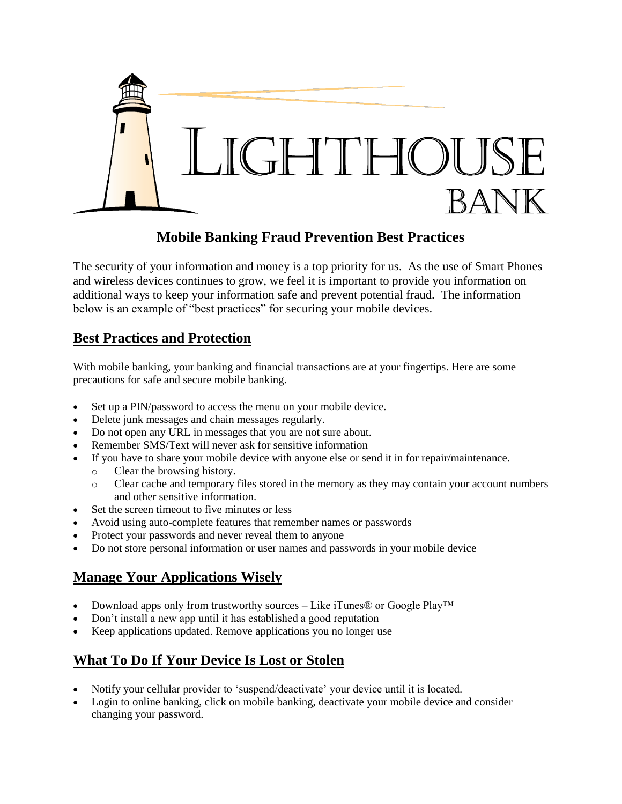

#### **Mobile Banking Fraud Prevention Best Practices**

The security of your information and money is a top priority for us. As the use of Smart Phones and wireless devices continues to grow, we feel it is important to provide you information on additional ways to keep your information safe and prevent potential fraud. The information below is an example of "best practices" for securing your mobile devices.

#### **Best Practices and Protection**

With mobile banking, your banking and financial transactions are at your fingertips. Here are some precautions for safe and secure mobile banking.

- Set up a PIN/password to access the menu on your mobile device.
- Delete junk messages and chain messages regularly.
- Do not open any URL in messages that you are not sure about.
- Remember SMS/Text will never ask for sensitive information
- If you have to share your mobile device with anyone else or send it in for repair/maintenance.
	- o Clear the browsing history.
	- o Clear cache and temporary files stored in the memory as they may contain your account numbers and other sensitive information.
- Set the screen timeout to five minutes or less
- Avoid using auto-complete features that remember names or passwords
- Protect your passwords and never reveal them to anyone
- Do not store personal information or user names and passwords in your mobile device

# **Manage Your Applications Wisely**

- Download apps only from trustworthy sources Like iTunes® or Google Play<sup>TM</sup>
- Don't install a new app until it has established a good reputation
- Keep applications updated. Remove applications you no longer use

# **What To Do If Your Device Is Lost or Stolen**

- Notify your cellular provider to 'suspend/deactivate' your device until it is located.
- Login to online banking, click on mobile banking, deactivate your mobile device and consider changing your password.